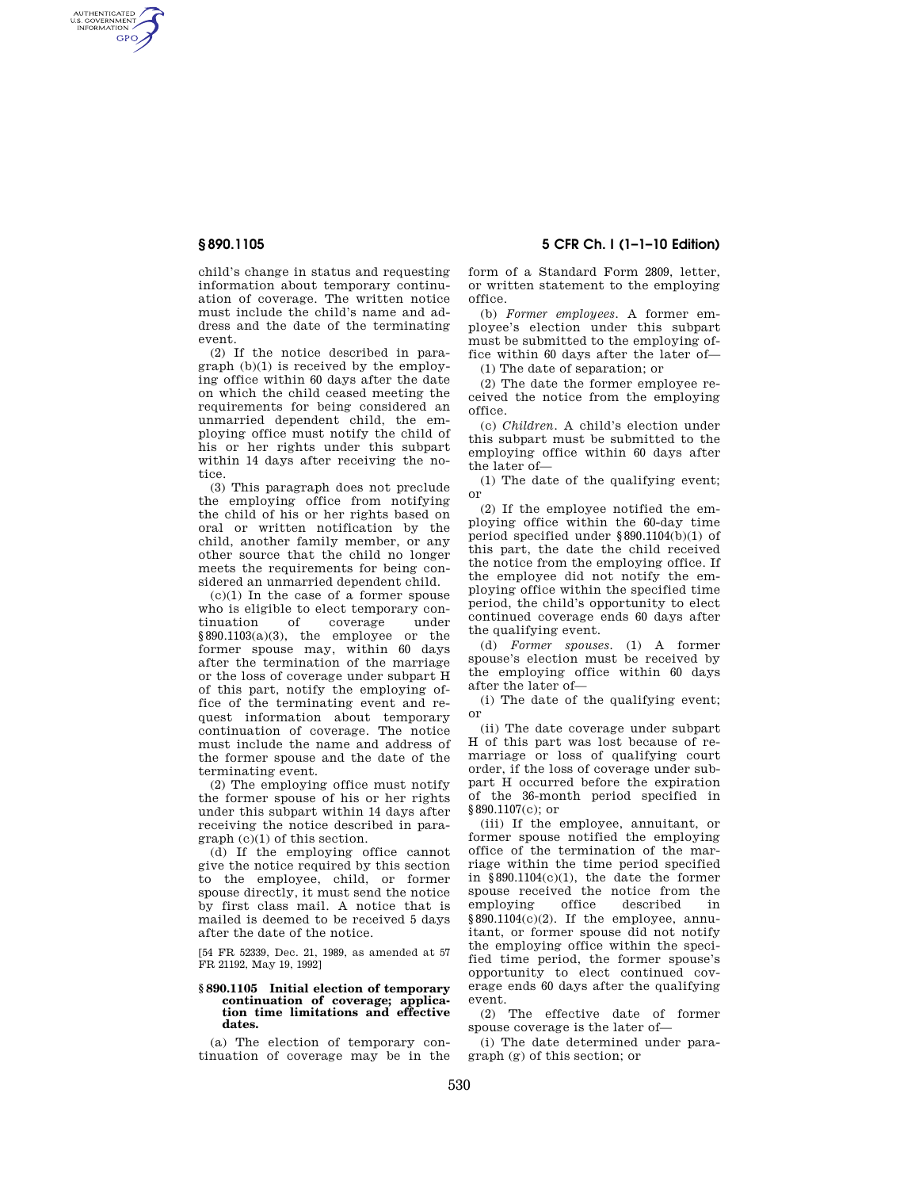AUTHENTICATED<br>U.S. GOVERNMENT<br>INFORMATION **GPO** 

> child's change in status and requesting information about temporary continuation of coverage. The written notice must include the child's name and address and the date of the terminating event.

> (2) If the notice described in paragraph (b)(1) is received by the employing office within 60 days after the date on which the child ceased meeting the requirements for being considered an unmarried dependent child, the employing office must notify the child of his or her rights under this subpart within 14 days after receiving the notice.

> (3) This paragraph does not preclude the employing office from notifying the child of his or her rights based on oral or written notification by the child, another family member, or any other source that the child no longer meets the requirements for being considered an unmarried dependent child.

> $(c)(1)$  In the case of a former spouse who is eligible to elect temporary continuation of coverage under  $§890.1103(a)(3)$ , the employee or the former spouse may, within 60 days after the termination of the marriage or the loss of coverage under subpart H of this part, notify the employing office of the terminating event and request information about temporary continuation of coverage. The notice must include the name and address of the former spouse and the date of the terminating event.

> (2) The employing office must notify the former spouse of his or her rights under this subpart within 14 days after receiving the notice described in paragraph (c)(1) of this section.

> (d) If the employing office cannot give the notice required by this section to the employee, child, or former spouse directly, it must send the notice by first class mail. A notice that is mailed is deemed to be received 5 days after the date of the notice.

> [54 FR 52339, Dec. 21, 1989, as amended at 57 FR 21192, May 19, 1992]

## **§ 890.1105 Initial election of temporary continuation of coverage; application time limitations and effective dates.**

(a) The election of temporary continuation of coverage may be in the

**§ 890.1105 5 CFR Ch. I (1–1–10 Edition)** 

form of a Standard Form 2809, letter, or written statement to the employing office.

(b) *Former employees.* A former employee's election under this subpart must be submitted to the employing office within 60 days after the later of—

(1) The date of separation; or

(2) The date the former employee received the notice from the employing office.

(c) *Children.* A child's election under this subpart must be submitted to the employing office within 60 days after the later of—

(1) The date of the qualifying event; or

(2) If the employee notified the employing office within the 60-day time period specified under §890.1104(b)(1) of this part, the date the child received the notice from the employing office. If the employee did not notify the employing office within the specified time period, the child's opportunity to elect continued coverage ends 60 days after the qualifying event.

(d) *Former spouses.* (1) A former spouse's election must be received by the employing office within 60 days after the later of—

(i) The date of the qualifying event; or

(ii) The date coverage under subpart H of this part was lost because of remarriage or loss of qualifying court order, if the loss of coverage under subpart H occurred before the expiration of the 36-month period specified in §890.1107(c); or

(iii) If the employee, annuitant, or former spouse notified the employing office of the termination of the marriage within the time period specified in  $§890.1104(c)(1)$ , the date the former spouse received the notice from the<br>employing office described in employing office described in  $§890.1104(c)(2)$ . If the employee, annuitant, or former spouse did not notify the employing office within the specified time period, the former spouse's opportunity to elect continued coverage ends 60 days after the qualifying event.

(2) The effective date of former spouse coverage is the later of—

(i) The date determined under paragraph (g) of this section; or